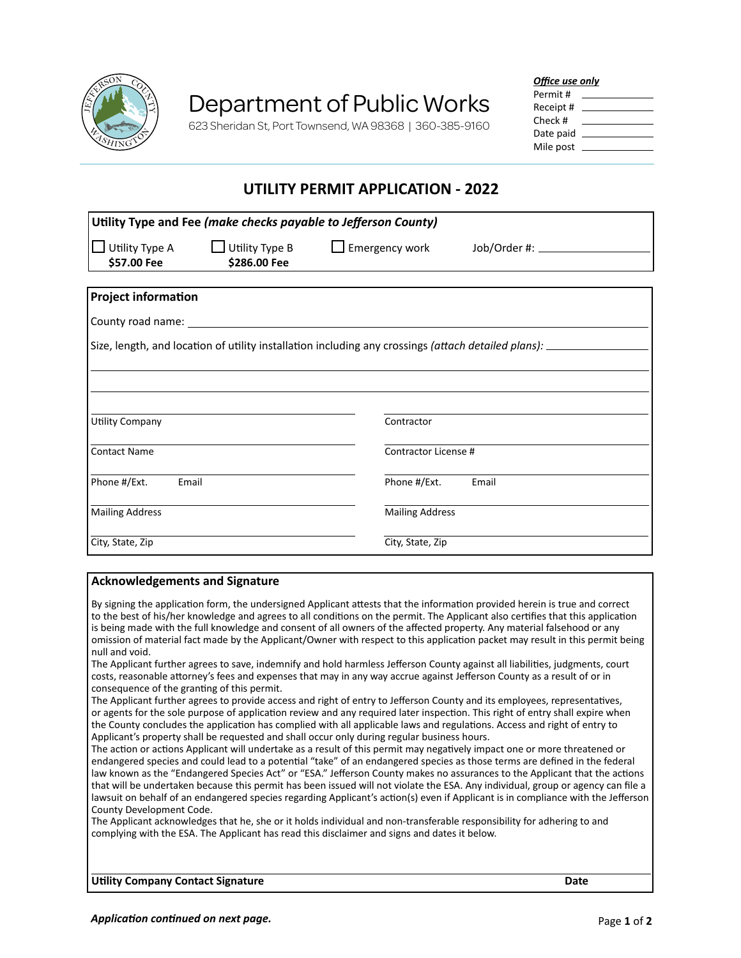

# Department of Public Works

623 Sheridan St, Port Townsend, WA 98368 | 360-385-9160

### *Office use only*

| Permit #  |  |
|-----------|--|
| Receipt # |  |
| Check #   |  |
| Date paid |  |
| Mile post |  |

## **UTILITY PERMIT APPLICATION - 2022**

| Utility Type and Fee (make checks payable to Jefferson County)                                        |                                       |                        |       |  |
|-------------------------------------------------------------------------------------------------------|---------------------------------------|------------------------|-------|--|
| Utility Type A<br>\$57.00 Fee                                                                         | $\Box$ Utility Type B<br>\$286.00 Fee | $\Box$ Emergency work  |       |  |
|                                                                                                       |                                       |                        |       |  |
| <b>Project information</b>                                                                            |                                       |                        |       |  |
| County road name:                                                                                     |                                       |                        |       |  |
| Size, length, and location of utility installation including any crossings (attach detailed plans): _ |                                       |                        |       |  |
|                                                                                                       |                                       |                        |       |  |
|                                                                                                       |                                       |                        |       |  |
|                                                                                                       |                                       |                        |       |  |
| Utility Company                                                                                       |                                       | Contractor             |       |  |
| <b>Contact Name</b>                                                                                   |                                       | Contractor License #   |       |  |
|                                                                                                       |                                       |                        |       |  |
| Phone #/Ext.<br>Email                                                                                 |                                       | Phone #/Ext.           | Email |  |
|                                                                                                       |                                       |                        |       |  |
| <b>Mailing Address</b>                                                                                |                                       | <b>Mailing Address</b> |       |  |
| City, State, Zip                                                                                      |                                       | City, State, Zip       |       |  |

### **Acknowledgements and Signature**

By signing the application form, the undersigned Applicant attests that the information provided herein is true and correct to the best of his/her knowledge and agrees to all conditions on the permit. The Applicant also certifies that this application is being made with the full knowledge and consent of all owners of the affected property. Any material falsehood or any omission of material fact made by the Applicant/Owner with respect to this application packet may result in this permit being null and void.

The Applicant further agrees to save, indemnify and hold harmless Jefferson County against all liabilities, judgments, court costs, reasonable attorney's fees and expenses that may in any way accrue against Jefferson County as a result of or in consequence of the granting of this permit.

The Applicant further agrees to provide access and right of entry to Jefferson County and its employees, representatives, or agents for the sole purpose of application review and any required later inspection. This right of entry shall expire when the County concludes the application has complied with all applicable laws and regulations. Access and right of entry to Applicant's property shall be requested and shall occur only during regular business hours.

The action or actions Applicant will undertake as a result of this permit may negatively impact one or more threatened or endangered species and could lead to a potential "take" of an endangered species as those terms are defined in the federal law known as the "Endangered Species Act" or "ESA." Jefferson County makes no assurances to the Applicant that the actions that will be undertaken because this permit has been issued will not violate the ESA. Any individual, group or agency can file a lawsuit on behalf of an endangered species regarding Applicant's action(s) even if Applicant is in compliance with the Jefferson County Development Code.

The Applicant acknowledges that he, she or it holds individual and non-transferable responsibility for adhering to and complying with the ESA. The Applicant has read this disclaimer and signs and dates it below.

**Utility Company Contact Signature Date**